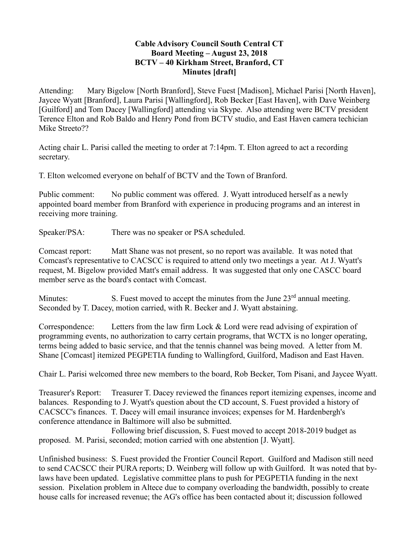## **Cable Advisory Council South Central CT Board Meeting – August 23, 2018 BCTV – 40 Kirkham Street, Branford, CT Minutes [draft]**

Attending: Mary Bigelow [North Branford], Steve Fuest [Madison], Michael Parisi [North Haven], Jaycee Wyatt [Branford], Laura Parisi [Wallingford], Rob Becker [East Haven], with Dave Weinberg [Guilford] and Tom Dacey [Wallingford] attending via Skype. Also attending were BCTV president Terence Elton and Rob Baldo and Henry Pond from BCTV studio, and East Haven camera techician Mike Streeto??

Acting chair L. Parisi called the meeting to order at 7:14pm. T. Elton agreed to act a recording secretary.

T. Elton welcomed everyone on behalf of BCTV and the Town of Branford.

Public comment: No public comment was offered. J. Wyatt introduced herself as a newly appointed board member from Branford with experience in producing programs and an interest in receiving more training.

Speaker/PSA: There was no speaker or PSA scheduled.

Comcast report: Matt Shane was not present, so no report was available. It was noted that Comcast's representative to CACSCC is required to attend only two meetings a year. At J. Wyatt's request, M. Bigelow provided Matt's email address. It was suggested that only one CASCC board member serve as the board's contact with Comcast.

Minutes: S. Fuest moved to accept the minutes from the June 23<sup>rd</sup> annual meeting. Seconded by T. Dacey, motion carried, with R. Becker and J. Wyatt abstaining.

Correspondence: Letters from the law firm Lock & Lord were read advising of expiration of programming events, no authorization to carry certain programs, that WCTX is no longer operating, terms being added to basic service, and that the tennis channel was being moved. A letter from M. Shane [Comcast] itemized PEGPETIA funding to Wallingford, Guilford, Madison and East Haven.

Chair L. Parisi welcomed three new members to the board, Rob Becker, Tom Pisani, and Jaycee Wyatt.

Treasurer's Report: Treasurer T. Dacey reviewed the finances report itemizing expenses, income and balances. Responding to J. Wyatt's question about the CD account, S. Fuest provided a history of CACSCC's finances. T. Dacey will email insurance invoices; expenses for M. Hardenbergh's conference attendance in Baltimore will also be submitted.

 Following brief discussion, S. Fuest moved to accept 2018-2019 budget as proposed. M. Parisi, seconded; motion carried with one abstention [J. Wyatt].

Unfinished business: S. Fuest provided the Frontier Council Report. Guilford and Madison still need to send CACSCC their PURA reports; D. Weinberg will follow up with Guilford. It was noted that bylaws have been updated. Legislative committee plans to push for PEGPETIA funding in the next session. Pixelation problem in Altece due to company overloading the bandwidth, possibly to create house calls for increased revenue; the AG's office has been contacted about it; discussion followed